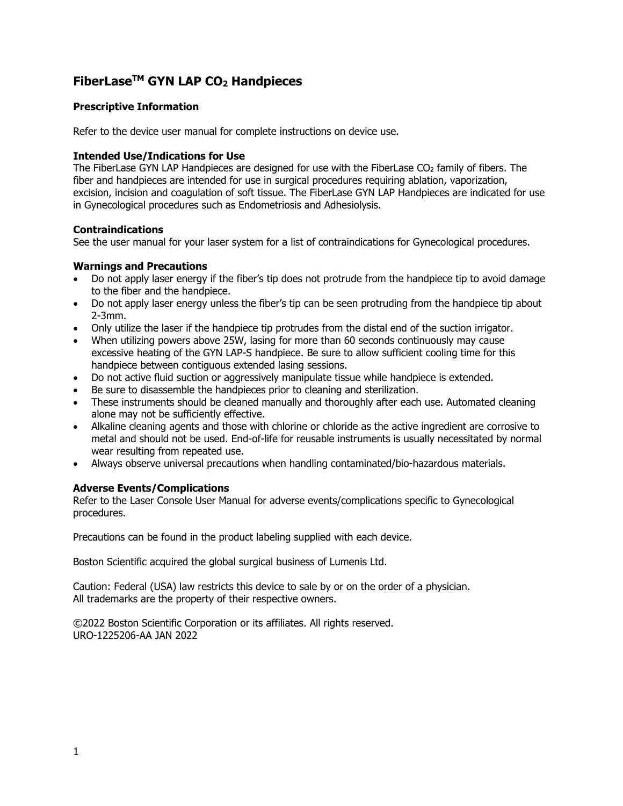# **FiberLaseTM GYN LAP CO2 Handpieces**

## **Prescriptive Information**

Refer to the device user manual for complete instructions on device use.

### **Intended Use/Indications for Use**

The FiberLase GYN LAP Handpieces are designed for use with the FiberLase  $CO<sub>2</sub>$  family of fibers. The fiber and handpieces are intended for use in surgical procedures requiring ablation, vaporization, excision, incision and coagulation of soft tissue. The FiberLase GYN LAP Handpieces are indicated for use in Gynecological procedures such as Endometriosis and Adhesiolysis.

#### **Contraindications**

See the user manual for your laser system for a list of contraindications for Gynecological procedures.

### **Warnings and Precautions**

- Do not apply laser energy if the fiber's tip does not protrude from the handpiece tip to avoid damage to the fiber and the handpiece.
- Do not apply laser energy unless the fiber's tip can be seen protruding from the handpiece tip about 2-3mm.
- Only utilize the laser if the handpiece tip protrudes from the distal end of the suction irrigator.
- When utilizing powers above 25W, lasing for more than 60 seconds continuously may cause excessive heating of the GYN LAP-S handpiece. Be sure to allow sufficient cooling time for this handpiece between contiguous extended lasing sessions.
- Do not active fluid suction or aggressively manipulate tissue while handpiece is extended.
- Be sure to disassemble the handpieces prior to cleaning and sterilization.
- These instruments should be cleaned manually and thoroughly after each use. Automated cleaning alone may not be sufficiently effective.
- Alkaline cleaning agents and those with chlorine or chloride as the active ingredient are corrosive to metal and should not be used. End-of-life for reusable instruments is usually necessitated by normal wear resulting from repeated use.
- Always observe universal precautions when handling contaminated/bio-hazardous materials.

### **Adverse Events/Complications**

Refer to the Laser Console User Manual for adverse events/complications specific to Gynecological procedures.

Precautions can be found in the product labeling supplied with each device.

Boston Scientific acquired the global surgical business of Lumenis Ltd.

Caution: Federal (USA) law restricts this device to sale by or on the order of a physician. All trademarks are the property of their respective owners.

©2022 Boston Scientific Corporation or its affiliates. All rights reserved. URO-1225206-AA JAN 2022